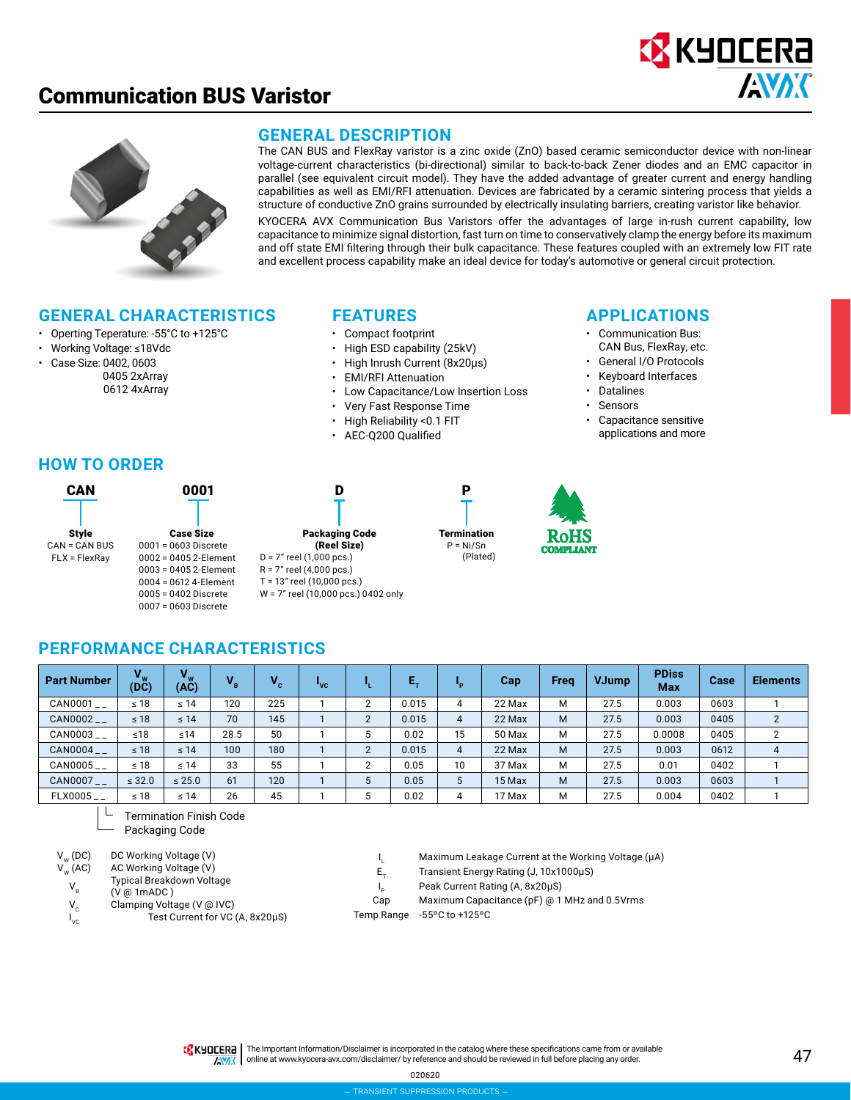



#### **GENERAL DESCRIPTION**

The CAN BUS and FlexRay varistor is a zinc oxide (ZnO) based ceramic semiconductor device with non-linear voltage-current characteristics (bi-directional) similar to back-to-back Zener diodes and an EMC capacitor in parallel (see equivalent circuit model). They have the added advantage of greater current and energy handling capabilities as well as EMI/RFI attenuation. Devices are fabricated by a ceramic sintering process that yields a structure of conductive ZnO grains surrounded by electrically insulating barriers, creating varistor like behavior.

KYOCERA AVX Communication Bus Varistors offer the advantages of large in-rush current capability, low capacitance to minimize signal distortion, fast turn on time to conservatively clamp the energy before its maximum and off state EMI filtering through their bulk capacitance. These features coupled with an extremely low FIT rate and excellent process capability make an ideal device for today's automotive or general circuit protection.

#### **GENERAL CHARACTERISTICS**

- Operting Teperature: -55°C to +125°C
- Working Voltage: ≤18Vdc
- Case Size: 0402, 0603 0405 2xArray
	- 0612 4xArray

#### **FEATURES**

- Compact footprint
- High ESD capability (25kV)
- High Inrush Current (8x20μs)
- EMI/RFI Attenuation
- Low Capacitance/Low Insertion Loss
- Very Fast Response Time

P

**Termination**  $P = Ni/Sn$ (Plated)

- High Reliability <0.1 FIT
- AEC-Q200 Qualified

#### **APPLICATIONS**

- Communication Bus: CAN Bus, FlexRay, etc.
- General I/O Protocols
- Keyboard Interfaces
- **Datalines**
- Sensors
- 
- Capacitance sensitive applications and more

#### **HOW TO ORDER**

| CAN                  | 0001                  |
|----------------------|-----------------------|
|                      |                       |
| <b>Style</b>         | <b>Case Size</b>      |
| <b>CAN = CAN BUS</b> | $0001 = 0603$ Discr   |
| $FLX = FlexRay$      | $0002 = 04052$ -Ele   |
|                      | $0003 = 04052$ -Ele   |
|                      | $0004 = 0612$ 4-Elei  |
|                      | $0.005 = 0.402$ Discr |

ize iscrete **Element** -Element **Element** ) iscrete 0007 = 0603 Discrete



- T = 13" reel (10,000 pcs.)
- W = 7" reel (10,000 pcs.) 0402 only



## **PERFORMANCE CHARACTERISTICS**

| <b>Part Number</b>               | $V_{\rm m}$<br>(DC) | $V_{w}$<br>(AC) | $V_{\rm B}$ |     | <b>VC</b> |        | Е.    |    | Cap    | Freq | <b>VJump</b> | <b>PDiss</b><br><b>Max</b> | Case | <b>Elements</b> |
|----------------------------------|---------------------|-----------------|-------------|-----|-----------|--------|-------|----|--------|------|--------------|----------------------------|------|-----------------|
| $CAN0001$ $_{-}$                 | $\leq 18$           | $\leq 14$       | 120         | 225 |           | $\sim$ | 0.015 |    | 22 Max | М    | 27.5         | 0.003                      | 0603 |                 |
| $CAN0002$ <sub>--</sub>          | $\leq 18$           | $\leq 14$       | 70          | 145 |           | c      | 0.015 | 4  | 22 Max | M    | 27.5         | 0.003                      | 0405 | $\overline{2}$  |
| $CAN0003$ $_{-}$                 | ≤18                 | ≤14             | 28.5        | 50  |           |        | 0.02  | 15 | 50 Max | M    | 27.5         | 0.0008                     | 0405 | $\overline{2}$  |
| CAN0004__                        | $\leq 18$           | $\leq 14$       | 100         | 180 |           | c      | 0.015 | 4  | 22 Max | M    | 27.5         | 0.003                      | 0612 | 4               |
| $\mathtt{CAN0005}_{\mathtt{--}}$ | $\leq 18$           | $\leq 14$       | 33          | 55  |           | $\sim$ | 0.05  | 10 | 37 Max | M    | 27.5         | 0.01                       | 0402 |                 |
| CAN0007__                        | $\leq$ 32.0         | $\leq 25.0$     | 61          | 120 |           | 5      | 0.05  |    | 15 Max | M    | 27.5         | 0.003                      | 0603 |                 |
| $FLX0005$ <sub>--</sub>          | $\leq 18$           | $\leq 14$       | 26          | 45  |           |        | 0.02  |    | 17 Max | М    | 27.5         | 0.004                      | 0402 |                 |

Termination Finish Code

Packaging Code

 $\mathsf{I}_{\mathsf{vc}}$ 

- $V_w (DC)$  DC Working Voltage (V)<br> $V_w (AC)$  AC Working Voltage (V) AC Working Voltage (V) Typical Breakdown Voltage
	- $V_B$ (V @ 1mADC )
	- $V_c$  Clamping Voltage (V @ IVC)
		- Test Current for VC (A, 8x20μS)
- Maximum Leakage Current at the Working Voltage (μA)

 $E_{T}$  Transient Energy Rating (J, 10x1000µS) Peak Current Rating (A, 8x20μS)

 $I_{p}$ 

I

Cap Maximum Capacitance (pF) @ 1 MHz and 0.5Vrms

Temp Range -55ºC to +125ºC

TR KHOLERA | The Important Information/Disclaimer is incorporated in the catalog where these specifications came from or available AVAX online at [www.kyocera-avx.com/disclaimer/](http://www.kyocera-avx.com/disclaimer/) by reference and should be reviewed in full before placing any order.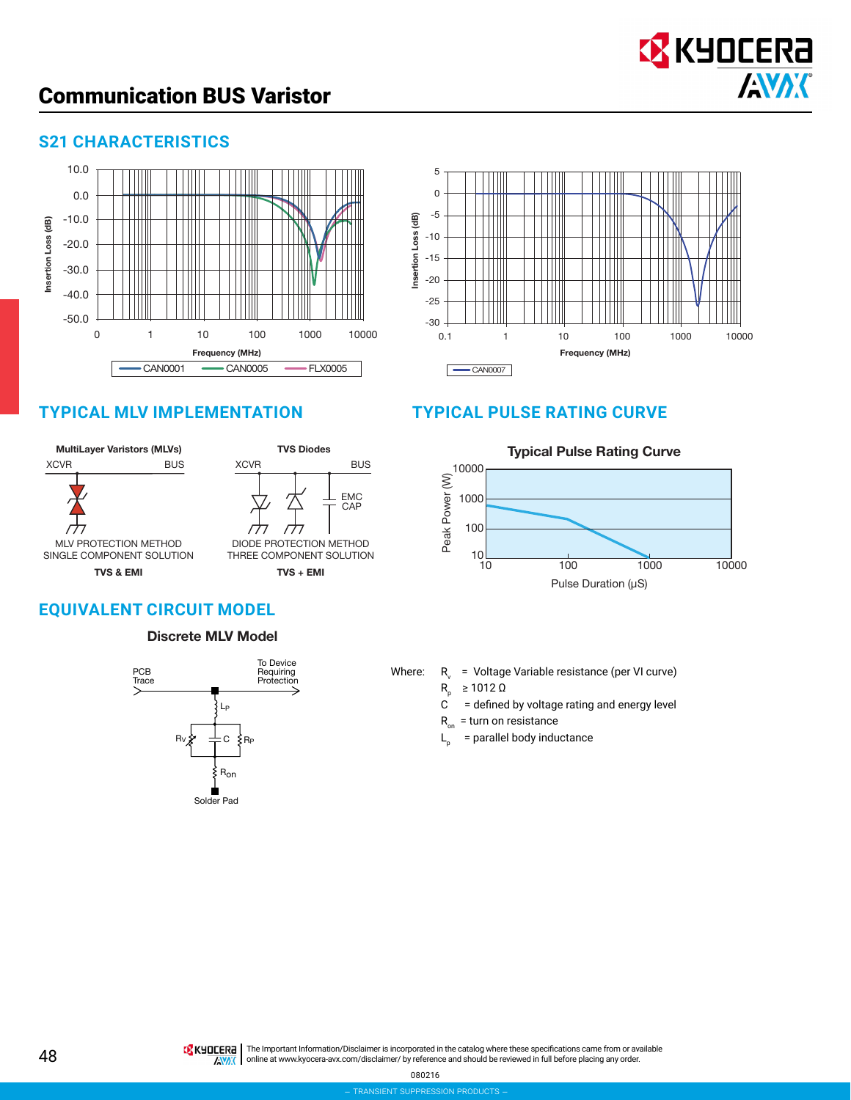

### **S21 CHARACTERISTICS**







# **TYPICAL MLV IMPLEMENTATION TYPICAL PULSE RATING CURVE**



# **EQUIVALENT CIRCUIT MODEL**

#### Discrete MLV Model



Where:  $R_{v}$ 

= Voltage Variable resistance (per VI curve)

- ≥ 1012 Ω
- $R_p$ = defined by voltage rating and energy level
- $R_{\text{on}}$  = turn on resistance
- $L_{\rm a}$ = parallel body inductance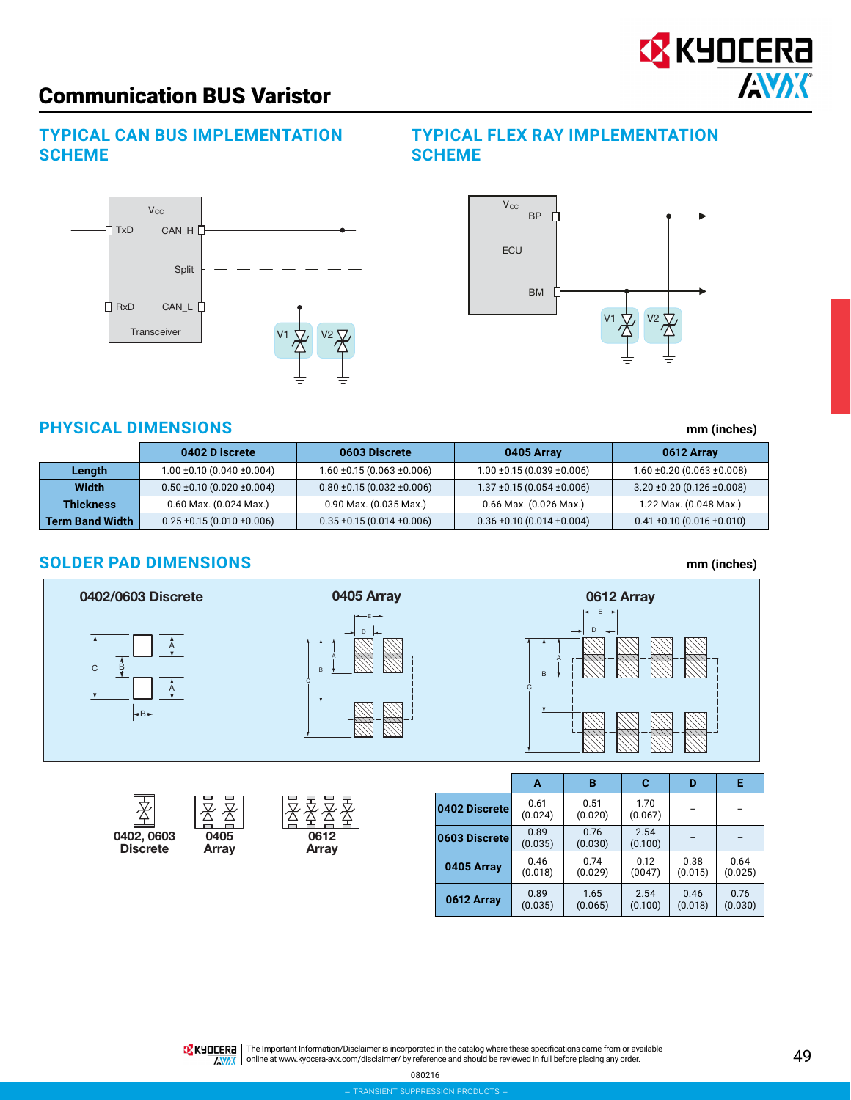#### **TYPICAL CAN BUS IMPLEMENTATION SCHEME**



0402, 0603 0405 0612

## **TYPICAL FLEX RAY IMPLEMENTATION SCHEME**



## **PHYSICAL DIMENSIONS mm (inches)**

|                  | 0402 D iscrete                       | 0603 Discrete                        | 0405 Array                           | 0612 Array                           |
|------------------|--------------------------------------|--------------------------------------|--------------------------------------|--------------------------------------|
| Length           | $1.00 \pm 0.10$ (0.040 $\pm 0.004$ ) | $1.60 \pm 0.15(0.063 \pm 0.006)$     | $1.00 \pm 0.15(0.039 \pm 0.006)$     | $1.60 \pm 0.20$ (0.063 $\pm 0.008$ ) |
| Width            | $0.50 \pm 0.10$ (0.020 $\pm 0.004$ ) | $0.80 \pm 0.15$ (0.032 $\pm 0.006$ ) | $1.37 \pm 0.15(0.054 \pm 0.006)$     | $3.20 \pm 0.20$ (0.126 $\pm 0.008$ ) |
| <b>Thickness</b> | 0.60 Max. (0.024 Max.)               | 0.90 Max. (0.035 Max.)               | 0.66 Max. (0.026 Max.)               | 1.22 Max. (0.048 Max.)               |
| Ferm Band Width  | $0.25 \pm 0.15$ (0.010 $\pm 0.006$ ) | $0.35 \pm 0.15$ (0.014 $\pm 0.006$ ) | $0.36 \pm 0.10$ (0.014 $\pm 0.004$ ) | $0.41 \pm 0.10 (0.016 \pm 0.010)$    |

## **SOLDER PAD DIMENSIONS mm (inches)**

**Discrete** 

支



|               | А               | в               | C               | D               | Е               |
|---------------|-----------------|-----------------|-----------------|-----------------|-----------------|
| 0402 Discrete | 0.61<br>(0.024) | 0.51<br>(0.020) | 1.70<br>(0.067) |                 |                 |
| 0603 Discrete | 0.89<br>(0.035) | 0.76<br>(0.030) | 2.54<br>(0.100) |                 |                 |
| 0405 Array    | 0.46<br>(0.018) | 0.74<br>(0.029) | 0.12<br>(0047)  | 0.38<br>(0.015) | 0.64<br>(0.025) |
| 0612 Array    | 0.89<br>(0.035) | 1.65<br>(0.065) | 2.54<br>(0.100) | 0.46<br>(0.018) | 0.76<br>(0.030) |

**IS KHOLERA** The Important Information/Disclaimer is incorporated in the catalog where these specifications came from or available **AVAX** online at [www.kyocera-avx.com/disclaimer/](http://www.kyocera-avx.com/disclaimer/) by reference and should be reviewed in full before placing any order.

080216

**EX** KYOCERA

**AVAK** 

#### 49